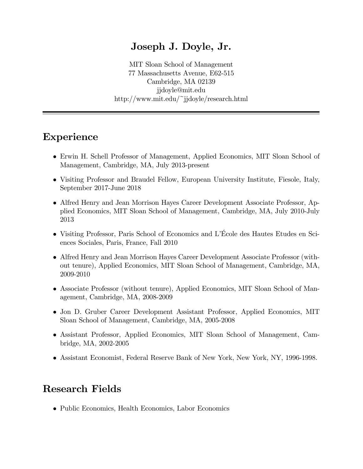#### Joseph J. Doyle, Jr.

MIT Sloan School of Management 77 Massachusetts Avenue, E62-515 Cambridge, MA 02139 jjdoyle@mit.edu http://www.mit.edu/~jjdoyle/research.html

## Experience

- Erwin H. Schell Professor of Management, Applied Economics, MIT Sloan School of Management, Cambridge, MA, July 2013-present
- Visiting Professor and Braudel Fellow, European University Institute, Fiesole, Italy, September 2017-June 2018
- Alfred Henry and Jean Morrison Hayes Career Development Associate Professor, Applied Economics, MIT Sloan School of Management, Cambridge, MA, July 2010-July 2013
- Visiting Professor, Paris School of Economics and L'École des Hautes Etudes en Sciences Sociales, Paris, France, Fall 2010
- Alfred Henry and Jean Morrison Hayes Career Development Associate Professor (without tenure), Applied Economics, MIT Sloan School of Management, Cambridge, MA, 2009-2010
- Associate Professor (without tenure), Applied Economics, MIT Sloan School of Management, Cambridge, MA, 2008-2009
- Jon D. Gruber Career Development Assistant Professor, Applied Economics, MIT Sloan School of Management, Cambridge, MA, 2005-2008
- Assistant Professor, Applied Economics, MIT Sloan School of Management, Cambridge, MA, 2002-2005
- Assistant Economist, Federal Reserve Bank of New York, New York, NY, 1996-1998.

## Research Fields

• Public Economics, Health Economics, Labor Economics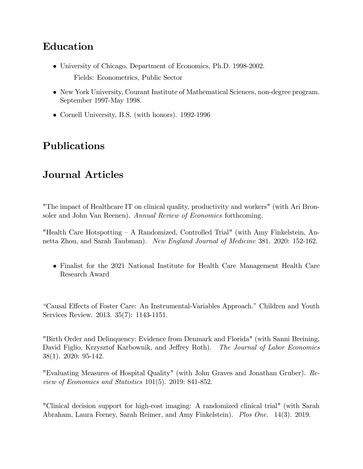# Education

- University of Chicago, Department of Economics, Ph.D. 1998-2002. Fields: Econometrics, Public Sector
- New York University, Courant Institute of Mathematical Sciences, non-degree program. September 1997-May 1998.
- Cornell University, B.S. (with honors). 1992-1996

# Publications

## Journal Articles

"The impact of Healthcare IT on clinical quality, productivity and workers" (with Ari Bronsoler and John Van Reenen). Annual Review of Economics forthcoming.

"Health Care Hotspotting  $\overline{A}$  Randomized, Controlled Trial" (with Amy Finkelstein, Annetta Zhou, and Sarah Taubman). New England Journal of Medicine 381. 2020: 152-162.

 Finalist for the 2021 National Institute for Health Care Management Health Care Research Award

"Causal Effects of Foster Care: An Instrumental-Variables Approach." Children and Youth Services Review. 2013. 35(7): 1143-1151.

"Birth Order and Delinquency: Evidence from Denmark and Florida" (with Sanni Breining, David Figlio, Krzysztof Karbownik, and Jeffrey Roth). The Journal of Labor Economics 38(1). 2020: 95-142.

"Evaluating Measures of Hospital Quality" (with John Graves and Jonathan Gruber). Review of Economics and Statistics 101(5). 2019: 841-852.

"Clinical decision support for high-cost imaging: A randomized clinical trial" (with Sarah Abraham, Laura Feeney, Sarah Reimer, and Amy Finkelstein). Plos One. 14(3). 2019.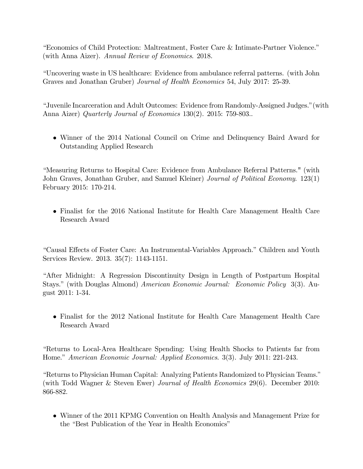"Economics of Child Protection: Maltreatment, Foster Care & Intimate-Partner Violence." (with Anna Aizer). Annual Review of Economics. 2018.

"Uncovering waste in US healthcare: Evidence from ambulance referral patterns. (with John Graves and Jonathan Gruber) Journal of Health Economics 54, July 2017: 25-39.

"Juvenile Incarceration and Adult Outcomes: Evidence from Randomly-Assigned Judges." (with Anna Aizer) Quarterly Journal of Economics 130(2). 2015: 759-803..

• Winner of the 2014 National Council on Crime and Delinquency Baird Award for Outstanding Applied Research

"Measuring Returns to Hospital Care: Evidence from Ambulance Referral Patterns." (with John Graves, Jonathan Gruber, and Samuel Kleiner) Journal of Political Economy. 123(1) February 2015: 170-214.

• Finalist for the 2016 National Institute for Health Care Management Health Care Research Award

"Causal Effects of Foster Care: An Instrumental-Variables Approach." Children and Youth Services Review. 2013. 35(7): 1143-1151.

"After Midnight: A Regression Discontinuity Design in Length of Postpartum Hospital Stays." (with Douglas Almond) *American Economic Journal: Economic Policy* 3(3). August 2011: 1-34.

• Finalist for the 2012 National Institute for Health Care Management Health Care Research Award

"Returns to Local-Area Healthcare Spending: Using Health Shocks to Patients far from Home." American Economic Journal: Applied Economics. 3(3). July 2011: 221-243.

"Returns to Physician Human Capital: Analyzing Patients Randomized to Physician Teams." (with Todd Wagner & Steven Ewer) Journal of Health Economics 29(6). December 2010: 866-882.

• Winner of the 2011 KPMG Convention on Health Analysis and Management Prize for the "Best Publication of the Year in Health Economics"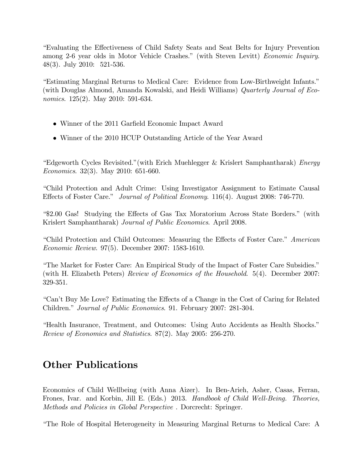"Evaluating the Effectiveness of Child Safety Seats and Seat Belts for Injury Prevention among 2-6 year olds in Motor Vehicle Crashes." (with Steven Levitt) Economic Inquiry. 48(3). July 2010:  $521-536$ .

"Estimating Marginal Returns to Medical Care: Evidence from Low-Birthweight Infants." (with Douglas Almond, Amanda Kowalski, and Heidi Williams) Quarterly Journal of Eco*nomics.* 125(2). May 2010: 591-634.

- Winner of the 2011 Garfield Economic Impact Award
- Winner of the 2010 HCUP Outstanding Article of the Year Award

"Edgeworth Cycles Revisited." (with Erich Muehlegger & Krislert Samphantharak) Energy *Economics.* 32(3). May 2010: 651-660.

"Child Protection and Adult Crime: Using Investigator Assignment to Estimate Causal Effects of Foster Care." Journal of Political Economy. 116(4). August 2008: 746-770.

"\$2.00 Gas! Studying the Effects of Gas Tax Moratorium Across State Borders." (with Krislert Samphantharak) Journal of Public Economics. April 2008.

"Child Protection and Child Outcomes: Measuring the Effects of Foster Care." American *Economic Review.* 97(5). December 2007: 1583-1610.

"The Market for Foster Care: An Empirical Study of the Impact of Foster Care Subsidies." (with H. Elizabeth Peters) Review of Economics of the Household. 5(4). December 2007: 329-351.

"Can't Buy Me Love? Estimating the Effects of a Change in the Cost of Caring for Related Children." *Journal of Public Economics.* 91. February 2007: 281-304.

"Health Insurance, Treatment, and Outcomes: Using Auto Accidents as Health Shocks." Review of Economics and Statistics. 87(2). May 2005: 256-270.

# **Other Publications**

Economics of Child Wellbeing (with Anna Aizer). In Ben-Arieh, Asher, Casas, Ferran, Frones, Ivar. and Korbin, Jill E. (Eds.) 2013. *Handbook of Child Well-Being. Theories*, Methods and Policies in Global Perspective. Dorcrecht: Springer.

"The Role of Hospital Heterogeneity in Measuring Marginal Returns to Medical Care: A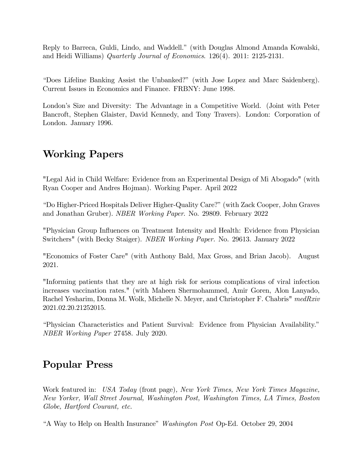Reply to Barreca, Guldi, Lindo, and Waddell.î (with Douglas Almond Amanda Kowalski, and Heidi Williams) Quarterly Journal of Economics. 126(4). 2011: 2125-2131.

ìDoes Lifeline Banking Assist the Unbanked?î (with Jose Lopez and Marc Saidenberg). Current Issues in Economics and Finance. FRBNY: June 1998.

London's Size and Diversity: The Advantage in a Competitive World. (Joint with Peter Bancroft, Stephen Glaister, David Kennedy, and Tony Travers). London: Corporation of London. January 1996.

#### Working Papers

"Legal Aid in Child Welfare: Evidence from an Experimental Design of Mi Abogado" (with Ryan Cooper and Andres Hojman). Working Paper. April 2022

ìDo Higher-Priced Hospitals Deliver Higher-Quality Care?î(with Zack Cooper, John Graves and Jonathan Gruber). NBER Working Paper. No. 29809. February 2022

"Physician Group Ináuences on Treatment Intensity and Health: Evidence from Physician Switchers" (with Becky Staiger). NBER Working Paper. No. 29613. January 2022

"Economics of Foster Care" (with Anthony Bald, Max Gross, and Brian Jacob). August 2021.

"Informing patients that they are at high risk for serious complications of viral infection increases vaccination rates." (with Maheen Shermohammed, Amir Goren, Alon Lanyado, Rachel Yesharim, Donna M. Wolk, Michelle N. Meyer, and Christopher F. Chabris" medRxiv 2021.02.20.21252015.

ìPhysician Characteristics and Patient Survival: Evidence from Physician Availability.î NBER Working Paper 27458. July 2020.

#### Popular Press

Work featured in: USA Today (front page), New York Times, New York Times Magazine, New Yorker, Wall Street Journal, Washington Post, Washington Times, LA Times, Boston Globe, Hartford Courant, etc.

"A Way to Help on Health Insurance" Washington Post Op-Ed. October 29, 2004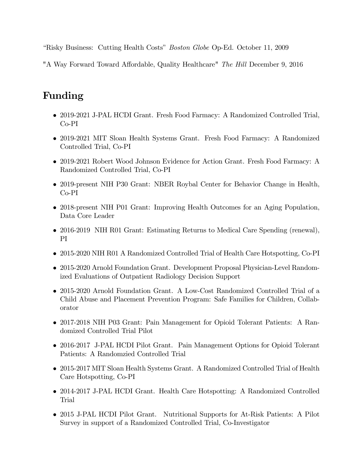"Risky Business: Cutting Health Costs" Boston Globe Op-Ed. October 11, 2009

"A Way Forward Toward Affordable, Quality Healthcare" The Hill December 9, 2016

# Funding

- 2019-2021 J-PAL HCDI Grant. Fresh Food Farmacy: A Randomized Controlled Trial, Co-PI
- 2019-2021 MIT Sloan Health Systems Grant. Fresh Food Farmacy: A Randomized Controlled Trial, Co-PI
- 2019-2021 Robert Wood Johnson Evidence for Action Grant. Fresh Food Farmacy: A Randomized Controlled Trial, Co-PI
- 2019-present NIH P30 Grant: NBER Roybal Center for Behavior Change in Health, Co-PI
- 2018-present NIH P01 Grant: Improving Health Outcomes for an Aging Population, Data Core Leader
- 2016-2019 NIH R01 Grant: Estimating Returns to Medical Care Spending (renewal), PI
- 2015-2020 NIH R01 A Randomized Controlled Trial of Health Care Hotspotting, Co-PI
- 2015-2020 Arnold Foundation Grant. Development Proposal Physician-Level Randomized Evaluations of Outpatient Radiology Decision Support
- 2015-2020 Arnold Foundation Grant. A Low-Cost Randomized Controlled Trial of a Child Abuse and Placement Prevention Program: Safe Families for Children, Collaborator
- 2017-2018 NIH P03 Grant: Pain Management for Opioid Tolerant Patients: A Randomized Controlled Trial Pilot
- 2016-2017 J-PAL HCDI Pilot Grant. Pain Management Options for Opioid Tolerant Patients: A Randomzied Controlled Trial
- 2015-2017 MIT Sloan Health Systems Grant. A Randomized Controlled Trial of Health Care Hotspotting, Co-PI
- 2014-2017 J-PAL HCDI Grant. Health Care Hotspotting: A Randomized Controlled Trial
- 2015 J-PAL HCDI Pilot Grant. Nutritional Supports for At-Risk Patients: A Pilot Survey in support of a Randomized Controlled Trial, Co-Investigator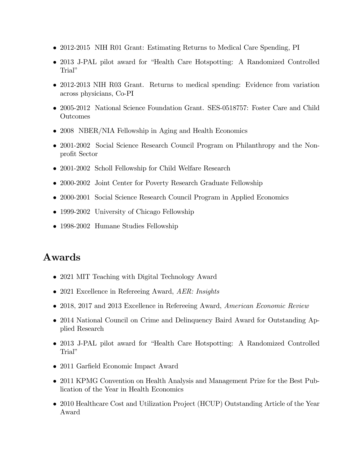- 2012-2015 NIH R01 Grant: Estimating Returns to Medical Care Spending, PI
- 2013 J-PAL pilot award for "Health Care Hotspotting: A Randomized Controlled Trial"
- 2012-2013 NIH R03 Grant. Returns to medical spending: Evidence from variation across physicians, Co-PI
- 2005-2012 National Science Foundation Grant. SES-0518757: Foster Care and Child Outcomes
- 2008 NBER/NIA Fellowship in Aging and Health Economics
- 2001-2002 Social Science Research Council Program on Philanthropy and the Nonprofit Sector
- 2001-2002 Scholl Fellowship for Child Welfare Research
- 2000-2002 Joint Center for Poverty Research Graduate Fellowship
- 2000-2001 Social Science Research Council Program in Applied Economics
- 1999-2002 University of Chicago Fellowship
- 1998-2002 Humane Studies Fellowship

#### Awards

- 2021 MIT Teaching with Digital Technology Award
- 2021 Excellence in Refereeing Award, AER: Insights
- 2018, 2017 and 2013 Excellence in Refereeing Award, American Economic Review
- 2014 National Council on Crime and Delinquency Baird Award for Outstanding Applied Research
- 2013 J-PAL pilot award for "Health Care Hotspotting: A Randomized Controlled Trial"
- 2011 Garfield Economic Impact Award
- 2011 KPMG Convention on Health Analysis and Management Prize for the Best Publication of the Year in Health Economics
- 2010 Healthcare Cost and Utilization Project (HCUP) Outstanding Article of the Year Award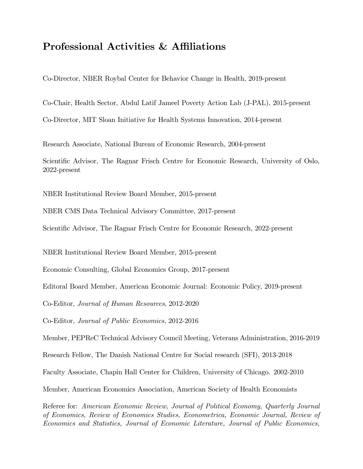#### Professional Activities & Affiliations

Co-Director, NBER Roybal Center for Behavior Change in Health, 2019-present

Co-Chair, Health Sector, Abdul Latif Jameel Poverty Action Lab (J-PAL), 2015-present

Co-Director, MIT Sloan Initiative for Health Systems Innovation, 2014-present

Research Associate, National Bureau of Economic Research, 2004-present

Scientific Advisor, The Ragnar Frisch Centre for Economic Research, University of Oslo, 2022-present

NBER Institutional Review Board Member, 2015-present

NBER CMS Data Technical Advisory Committee, 2017-present

Scientific Advisor, The Ragnar Frisch Centre for Economic Research, 2022-present

NBER Institutional Review Board Member, 2015-present

Economic Consulting, Global Economics Group, 2017-present

Editoral Board Member, American Economic Journal: Economic Policy, 2019-present

Co-Editor, Journal of Human Resources, 2012-2020

Co-Editor, Journal of Public Economics, 2012-2016

Member, PEPReC Technical Advisory Council Meeting, Veterans Administration, 2016-2019

Research Fellow, The Danish National Centre for Social research (SFI), 2013-2018

Faculty Associate, Chapin Hall Center for Children, University of Chicago. 2002-2010

Member, American Economics Association, American Society of Health Economists

Referee for: American Economic Review, Journal of Political Economy, Quarterly Journal of Economics, Review of Economics Studies, Econometrica, Economic Journal, Review of Economics and Statistics, Journal of Economic Literature, Journal of Public Economics,